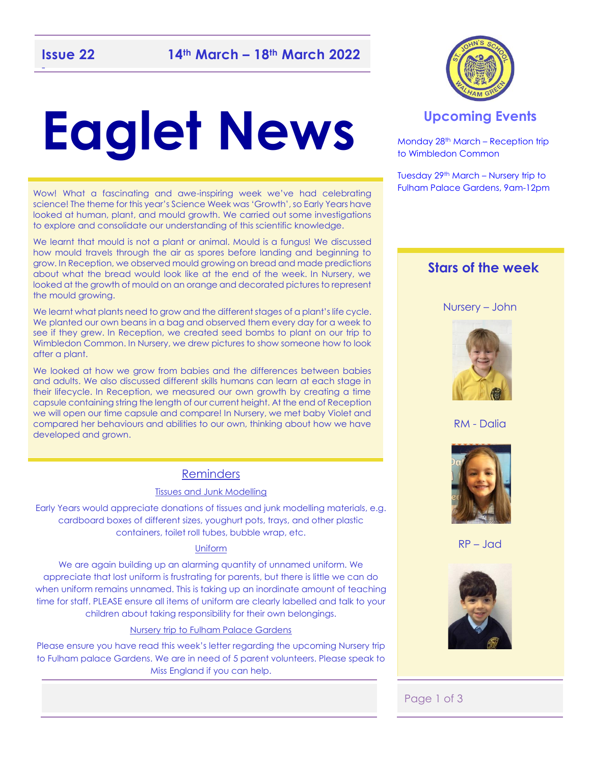# **Eaglet News**

Wow! What a fascinating and awe-inspiring week we've had celebrating science! The theme for this year's Science Week was 'Growth', so Early Years have looked at human, plant, and mould growth. We carried out some investigations to explore and consolidate our understanding of this scientific knowledge.

We learnt that mould is not a plant or animal. Mould is a fungus! We discussed how mould travels through the air as spores before landing and beginning to grow. In Reception, we observed mould growing on bread and made predictions about what the bread would look like at the end of the week. In Nursery, we looked at the growth of mould on an orange and decorated pictures to represent the mould growing.

We learnt what plants need to grow and the different stages of a plant's life cycle. We planted our own beans in a bag and observed them every day for a week to see if they grew. In Reception, we created seed bombs to plant on our trip to Wimbledon Common. In Nursery, we drew pictures to show someone how to look after a plant.

We looked at how we grow from babies and the differences between babies and adults. We also discussed different skills humans can learn at each stage in their lifecycle. In Reception, we measured our own growth by creating a time capsule containing string the length of our current height. At the end of Reception we will open our time capsule and compare! In Nursery, we met baby Violet and compared her behaviours and abilities to our own, thinking about how we have developed and grown.

#### Reminders

#### Tissues and Junk Modelling

Early Years would appreciate donations of tissues and junk modelling materials, e.g. cardboard boxes of different sizes, youghurt pots, trays, and other plastic containers, toilet roll tubes, bubble wrap, etc.

#### Uniform

We are again building up an alarming quantity of unnamed uniform. We appreciate that lost uniform is frustrating for parents, but there is little we can do when uniform remains unnamed. This is taking up an inordinate amount of teaching time for staff. PLEASE ensure all items of uniform are clearly labelled and talk to your children about taking responsibility for their own belongings.

#### Nursery trip to Fulham Palace Gardens

Please ensure you have read this week's letter regarding the upcoming Nursery trip to Fulham palace Gardens. We are in need of 5 parent volunteers. Please speak to Miss England if you can help.



#### **Upcoming Events**

Monday 28th March – Reception trip to Wimbledon Common

Tuesday 29th March – Nursery trip to Fulham Palace Gardens, 9am-12pm

#### **Stars of the week**

Nursery – John



RM - Dalia



RP – Jad



#### Page 1 of 3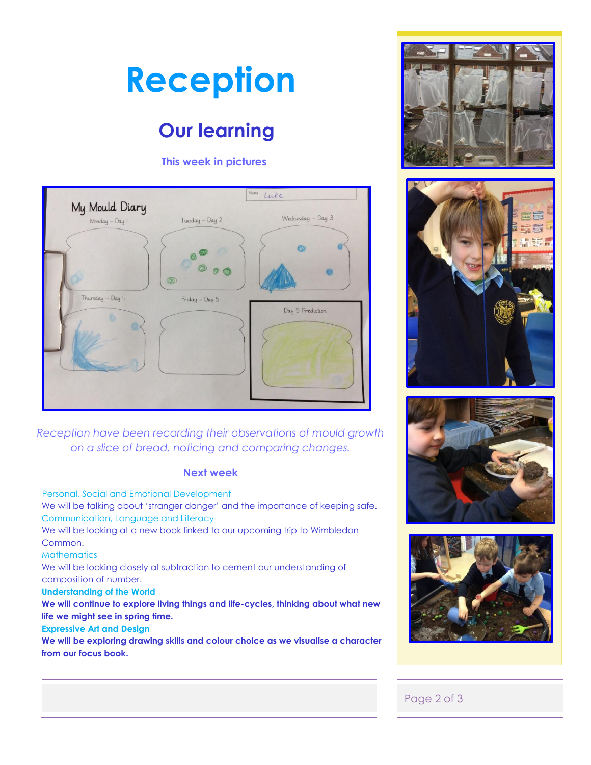## **Reception**

### **Our learning**

#### **This week in pictures**



*Reception have been recording their observations of mould growth on a slice of bread, noticing and comparing changes.* 

#### **Next week**

 Personal, Social and Emotional Development We will be talking about 'stranger danger' and the importance of keeping safe. Communication, Language and Literacy We will be looking at a new book linked to our upcoming trip to Wimbledon Common. **Mathematics** We will be looking closely at subtraction to cement our understanding of

composition of number.

#### **Understanding of the World**

**We will continue to explore living things and life-cycles, thinking about what new life we might see in spring time.** 

#### **Expressive Art and Design**

**We will be exploring drawing skills and colour choice as we visualise a character from our focus book.** 









#### Page 2 of 3